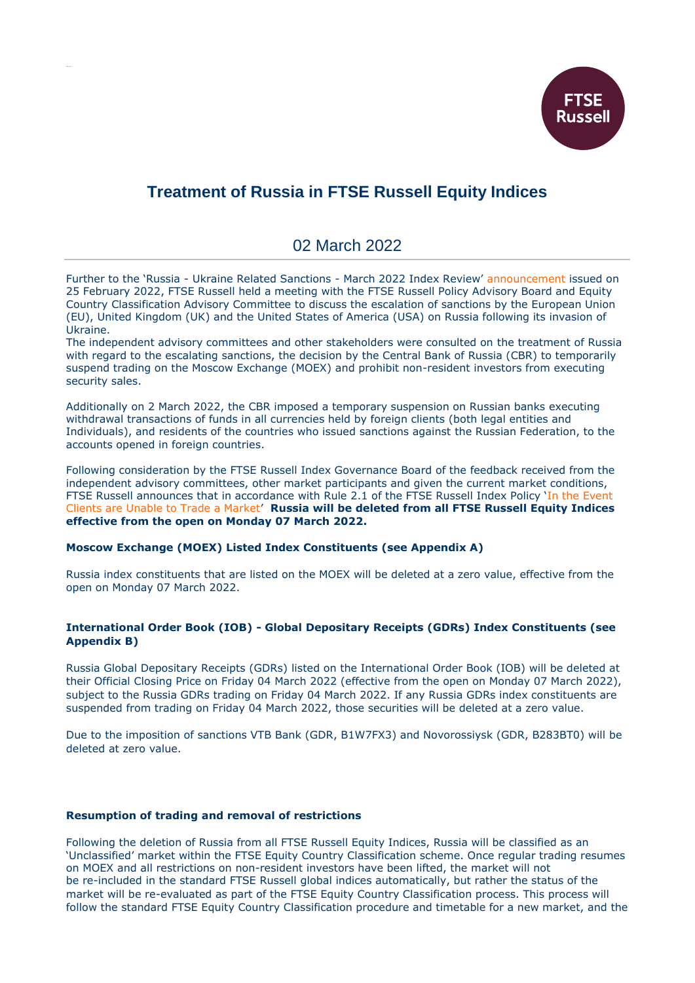

# **Treatment of Russia in FTSE Russell Equity Indices**

# 02 March 2022

Further to the 'Russia - Ukraine Related Sanctions - March 2022 Index Review' [announcement](https://research.ftserussell.com/products/index-notices/home/getnotice/?id=2603423) issued on 25 February 2022, FTSE Russell held a meeting with the FTSE Russell Policy Advisory Board and Equity Country Classification Advisory Committee to discuss the escalation of sanctions by the European Union (EU), United Kingdom (UK) and the United States of America (USA) on Russia following its invasion of Ukraine.

The independent advisory committees and other stakeholders were consulted on the treatment of Russia with regard to the escalating sanctions, the decision by the Central Bank of Russia (CBR) to temporarily suspend trading on the Moscow Exchange (MOEX) and prohibit non-resident investors from executing security sales.

Additionally on 2 March 2022, the CBR imposed a temporary suspension on Russian banks executing withdrawal transactions of funds in all currencies held by foreign clients (both legal entities and Individuals), and residents of the countries who issued sanctions against the Russian Federation, to the accounts opened in foreign countries.

Following consideration by the FTSE Russell Index Governance Board of the feedback received from the independent advisory committees, other market participants and given the current market conditions, FTSE Russell announces that in accordance with Rule 2.1 of the FTSE Russell Index Policy 'In [the Event](https://research.ftserussell.com/products/downloads/FTSE_Russell_Index_Policy_in_the_Event_Clients_are_Unable_to_Trade_a_Market.pdf)  [Clients are Unable to Trade a Market](https://research.ftserussell.com/products/downloads/FTSE_Russell_Index_Policy_in_the_Event_Clients_are_Unable_to_Trade_a_Market.pdf)' **Russia will be deleted from all FTSE Russell Equity Indices effective from the open on Monday 07 March 2022.**

#### **Moscow Exchange (MOEX) Listed Index Constituents (see Appendix A)**

Russia index constituents that are listed on the MOEX will be deleted at a zero value, effective from the open on Monday 07 March 2022.

### **International Order Book (IOB) - Global Depositary Receipts (GDRs) Index Constituents (see Appendix B)**

Russia Global Depositary Receipts (GDRs) listed on the International Order Book (IOB) will be deleted at their Official Closing Price on Friday 04 March 2022 (effective from the open on Monday 07 March 2022), subject to the Russia GDRs trading on Friday 04 March 2022. If any Russia GDRs index constituents are suspended from trading on Friday 04 March 2022, those securities will be deleted at a zero value.

Due to the imposition of sanctions VTB Bank (GDR, B1W7FX3) and Novorossiysk (GDR, B283BT0) will be deleted at zero value.

#### **Resumption of trading and removal of restrictions**

Following the deletion of Russia from all FTSE Russell Equity Indices, Russia will be classified as an 'Unclassified' market within the FTSE Equity Country Classification scheme. Once regular trading resumes on MOEX and all restrictions on non-resident investors have been lifted, the market will not be re-included in the standard FTSE Russell global indices automatically, but rather the status of the market will be re-evaluated as part of the FTSE Equity Country Classification process. This process will follow the standard FTSE Equity Country Classification procedure and timetable for a new market, and the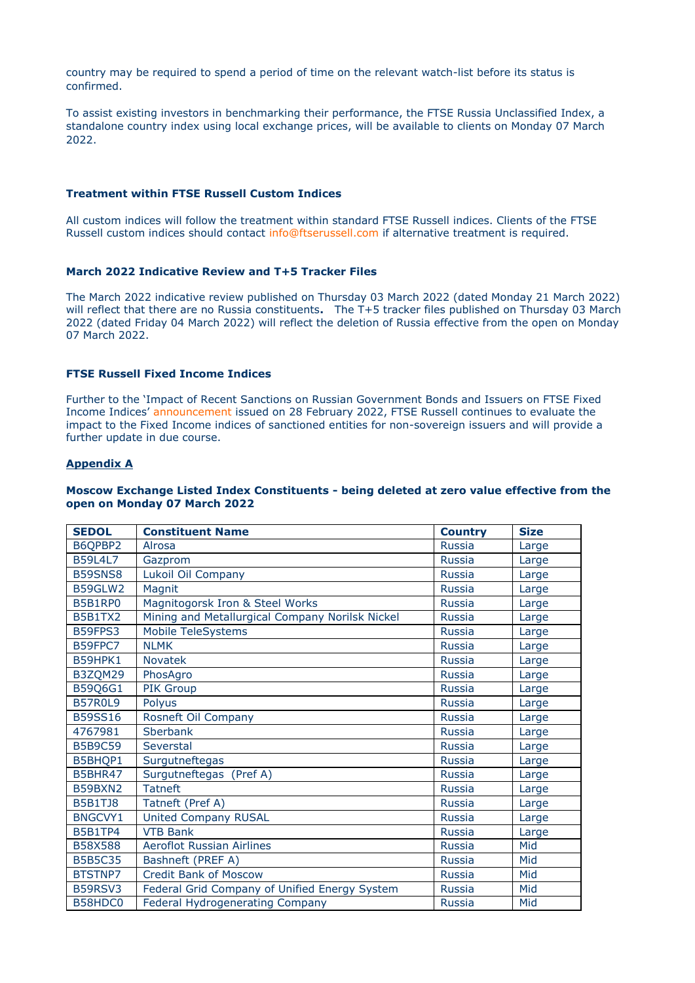country may be required to spend a period of time on the relevant watch-list before its status is confirmed.

To assist existing investors in benchmarking their performance, the FTSE Russia Unclassified Index, a standalone country index using local exchange prices, will be available to clients on Monday 07 March 2022.

#### **Treatment within FTSE Russell Custom Indices**

All custom indices will follow the treatment within standard FTSE Russell indices. Clients of the FTSE Russell custom indices should contact [info@ftserussell.com](mailto:info@ftserussell.com) if alternative treatment is required.

#### **March 2022 Indicative Review and T+5 Tracker Files**

The March 2022 indicative review published on Thursday 03 March 2022 (dated Monday 21 March 2022) will reflect that there are no Russia constituents**.** The T+5 tracker files published on Thursday 03 March 2022 (dated Friday 04 March 2022) will reflect the deletion of Russia effective from the open on Monday 07 March 2022.

#### **FTSE Russell Fixed Income Indices**

Further to the 'Impact of Recent Sanctions on Russian Government Bonds and Issuers on FTSE Fixed Income Indices' [announcement](https://research.ftserussell.com/products/index-notices/home/getnotice/?id=2603466) issued on 28 February 2022, FTSE Russell continues to evaluate the impact to the Fixed Income indices of sanctioned entities for non-sovereign issuers and will provide a further update in due course.

#### **Appendix A**

#### **Moscow Exchange Listed Index Constituents - being deleted at zero value effective from the open on Monday 07 March 2022**

| <b>SEDOL</b>   | <b>Constituent Name</b>                         | <b>Country</b> | <b>Size</b> |
|----------------|-------------------------------------------------|----------------|-------------|
| B6QPBP2        | Alrosa                                          | <b>Russia</b>  | Large       |
| <b>B59L4L7</b> | Gazprom                                         | <b>Russia</b>  | Large       |
| B59SNS8        | Lukoil Oil Company                              | <b>Russia</b>  | Large       |
| B59GLW2        | Magnit                                          | <b>Russia</b>  | Large       |
| <b>B5B1RP0</b> | Magnitogorsk Iron & Steel Works                 | <b>Russia</b>  | Large       |
| <b>B5B1TX2</b> | Mining and Metallurgical Company Norilsk Nickel | <b>Russia</b>  | Large       |
| B59FPS3        | Mobile TeleSystems                              | <b>Russia</b>  | Large       |
| B59FPC7        | <b>NLMK</b>                                     | <b>Russia</b>  | Large       |
| <b>B59HPK1</b> | <b>Novatek</b>                                  | <b>Russia</b>  | Large       |
| B3ZQM29        | PhosAgro                                        | <b>Russia</b>  | Large       |
| B59Q6G1        | <b>PIK Group</b>                                | <b>Russia</b>  | Large       |
| <b>B57R0L9</b> | Polvus                                          | <b>Russia</b>  | Large       |
| <b>B59SS16</b> | Rosneft Oil Company                             | <b>Russia</b>  | Large       |
| 4767981        | <b>Sberbank</b>                                 | <b>Russia</b>  | Large       |
| <b>B5B9C59</b> | Severstal                                       | <b>Russia</b>  | Large       |
| B5BHQP1        | Surgutneftegas                                  | <b>Russia</b>  | Large       |
| <b>B5BHR47</b> | Surgutneftegas (Pref A)                         | <b>Russia</b>  | Large       |
| B59BXN2        | <b>Tatneft</b>                                  | <b>Russia</b>  | Large       |
| <b>B5B1TJ8</b> | Tatneft (Pref A)                                | <b>Russia</b>  | Large       |
| <b>BNGCVY1</b> | <b>United Company RUSAL</b>                     | <b>Russia</b>  | Large       |
| <b>B5B1TP4</b> | <b>VTB Bank</b>                                 | <b>Russia</b>  | Large       |
| <b>B58X588</b> | <b>Aeroflot Russian Airlines</b>                | <b>Russia</b>  | Mid         |
| <b>B5B5C35</b> | Bashneft (PREF A)                               | <b>Russia</b>  | Mid         |
| <b>BTSTNP7</b> | <b>Credit Bank of Moscow</b>                    | <b>Russia</b>  | Mid         |
| B59RSV3        | Federal Grid Company of Unified Energy System   | <b>Russia</b>  | Mid         |
| B58HDC0        | <b>Federal Hydrogenerating Company</b>          | <b>Russia</b>  | Mid         |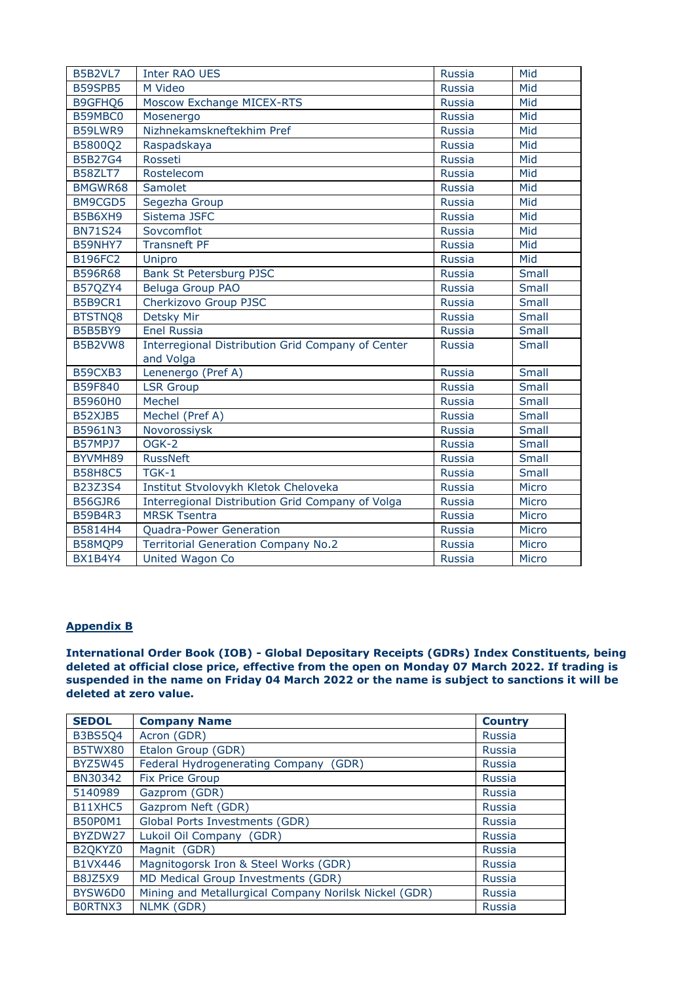| B5B2VL7        | <b>Inter RAO UES</b>                              | <b>Russia</b> | Mid   |
|----------------|---------------------------------------------------|---------------|-------|
| <b>B59SPB5</b> | M Video                                           | <b>Russia</b> | Mid   |
| B9GFHQ6        | Moscow Exchange MICEX-RTS                         | <b>Russia</b> | Mid   |
| B59MBC0        | Mosenergo                                         | Russia        | Mid   |
| B59LWR9        | Nizhnekamskneftekhim Pref                         | <b>Russia</b> | Mid   |
| B5800Q2        | Raspadskaya                                       | <b>Russia</b> | Mid   |
| <b>B5B27G4</b> | Rosseti                                           | <b>Russia</b> | Mid   |
| B58ZLT7        | Rostelecom                                        | <b>Russia</b> | Mid   |
| BMGWR68        | Samolet                                           | <b>Russia</b> | Mid   |
| BM9CGD5        | Segezha Group                                     | <b>Russia</b> | Mid   |
| B5B6XH9        | Sistema JSFC                                      | <b>Russia</b> | Mid   |
| <b>BN71S24</b> | Sovcomflot                                        | <b>Russia</b> | Mid   |
| B59NHY7        | Transneft PF                                      | <b>Russia</b> | Mid   |
| <b>B196FC2</b> | Unipro                                            | Russia        | Mid   |
| B596R68        | Bank St Petersburg PJSC                           | <b>Russia</b> | Small |
| B57QZY4        | Beluga Group PAO                                  | <b>Russia</b> | Small |
| <b>B5B9CR1</b> | Cherkizovo Group PJSC                             | <b>Russia</b> | Small |
| BTSTNQ8        | Detsky Mir                                        | <b>Russia</b> | Small |
| B5B5BY9        | <b>Enel Russia</b>                                | <b>Russia</b> | Small |
| B5B2VW8        | Interregional Distribution Grid Company of Center | <b>Russia</b> | Small |
|                | and Volga                                         |               |       |
| B59CXB3        | Lenenergo (Pref A)                                | <b>Russia</b> | Small |
| B59F840        | <b>LSR Group</b>                                  | <b>Russia</b> | Small |
| B5960H0        | Mechel                                            | <b>Russia</b> | Small |
| B52XJB5        | Mechel (Pref A)                                   | <b>Russia</b> | Small |
| B5961N3        | Novorossiysk                                      | <b>Russia</b> | Small |
| <b>B57MPJ7</b> | $\overline{OGK-2}$                                | <b>Russia</b> | Small |
| BYVMH89        | <b>RussNeft</b>                                   | <b>Russia</b> | Small |
| <b>B58H8C5</b> | $T$ GK-1                                          | <b>Russia</b> | Small |
| B23Z3S4        | Institut Stvolovykh Kletok Cheloveka              | <b>Russia</b> | Micro |
| B56GJR6        | Interregional Distribution Grid Company of Volga  | <b>Russia</b> | Micro |
| <b>B59B4R3</b> | <b>MRSK Tsentra</b>                               | <b>Russia</b> | Micro |
| B5814H4        | Quadra-Power Generation                           | <b>Russia</b> | Micro |
| B58MQP9        | <b>Territorial Generation Company No.2</b>        | <b>Russia</b> | Micro |
| BX1B4Y4        | <b>United Wagon Co</b>                            | <b>Russia</b> | Micro |

## **Appendix B**

**International Order Book (IOB) - Global Depositary Receipts (GDRs) Index Constituents, being deleted at official close price, effective from the open on Monday 07 March 2022. If trading is suspended in the name on Friday 04 March 2022 or the name is subject to sanctions it will be deleted at zero value.**

| <b>SEDOL</b>   | <b>Company Name</b>                                   | <b>Country</b> |
|----------------|-------------------------------------------------------|----------------|
| <b>B3BS504</b> | Acron (GDR)                                           | <b>Russia</b>  |
| B5TWX80        | Etalon Group (GDR)                                    | <b>Russia</b>  |
| <b>BYZ5W45</b> | Federal Hydrogenerating Company (GDR)                 | <b>Russia</b>  |
| BN30342        | <b>Fix Price Group</b>                                | <b>Russia</b>  |
| 5140989        | Gazprom (GDR)                                         | <b>Russia</b>  |
| B11XHC5        | Gazprom Neft (GDR)                                    | <b>Russia</b>  |
| <b>B50P0M1</b> | Global Ports Investments (GDR)                        | <b>Russia</b>  |
| BYZDW27        | Lukoil Oil Company (GDR)                              | Russia         |
| B2QKYZ0        | Magnit (GDR)                                          | <b>Russia</b>  |
| <b>B1VX446</b> | Magnitogorsk Iron & Steel Works (GDR)                 | Russia         |
| <b>B8JZ5X9</b> | MD Medical Group Investments (GDR)                    | <b>Russia</b>  |
| BYSW6D0        | Mining and Metallurgical Company Norilsk Nickel (GDR) | <b>Russia</b>  |
| BORTNX3        | <b>NLMK (GDR)</b>                                     | <b>Russia</b>  |